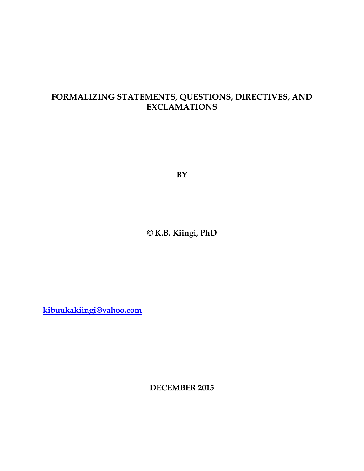## **FORMALIZING STATEMENTS, QUESTIONS, DIRECTIVES, AND EXCLAMATIONS**

**BY**

**© K.B. Kiingi, PhD**

**[kibuukakiingi@yahoo.com](mailto:kibuukakiingi@yahoo.com)**

**DECEMBER 2015**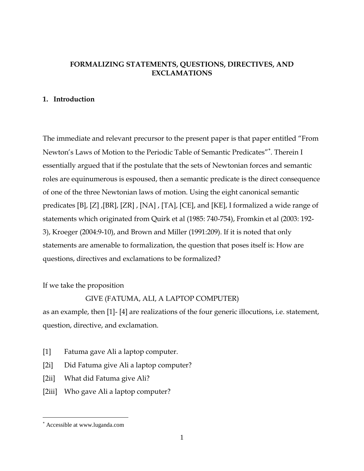#### **FORMALIZING STATEMENTS, QUESTIONS, DIRECTIVES, AND EXCLAMATIONS**

#### **1. Introduction**

The immediate and relevant precursor to the present paper is that paper entitled "From Newton's Laws of Motion to the Periodic Table of Semantic Predicates" . Therein I essentially argued that if the postulate that the sets of Newtonian forces and semantic roles are equinumerous is espoused, then a semantic predicate is the direct consequence of one of the three Newtonian laws of motion. Using the eight canonical semantic predicates [B], [Z] ,[BR], [ZR] , [NA] , [TA], [CE], and [KE], I formalized a wide range of statements which originated from Quirk et al (1985: 740-754), Fromkin et al (2003: 192- 3), Kroeger (2004:9-10), and Brown and Miller (1991:209). If it is noted that only statements are amenable to formalization, the question that poses itself is: How are questions, directives and exclamations to be formalized?

If we take the proposition

#### GIVE (FATUMA, ALI, A LAPTOP COMPUTER)

as an example, then [1]- [4] are realizations of the four generic illocutions, i.e. statement, question, directive, and exclamation.

- [1] Fatuma gave Ali a laptop computer.
- [2i] Did Fatuma give Ali a laptop computer?
- [2ii] What did Fatuma give Ali?
- [2iii] Who gave Ali a laptop computer?

 $\overline{a}$ 

Accessible at www.luganda.com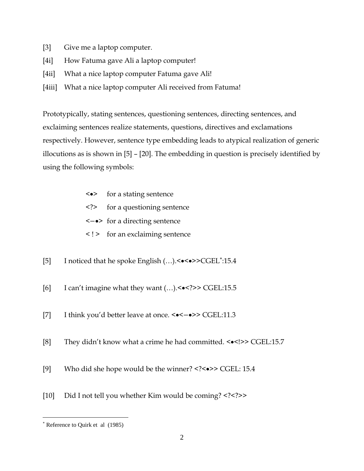- [3] Give me a laptop computer.
- [4i] How Fatuma gave Ali a laptop computer!
- [4ii] What a nice laptop computer Fatuma gave Ali!
- [4iii] What a nice laptop computer Ali received from Fatuma!

Prototypically, stating sentences, questioning sentences, directing sentences, and exclaiming sentences realize statements, questions, directives and exclamations respectively. However, sentence type embedding leads to atypical realization of generic illocutions as is shown in [5] – [20]. The embedding in question is precisely identified by using the following symbols:

| $\langle \bullet \rangle$ | for a stating sentence |
|---------------------------|------------------------|
|---------------------------|------------------------|

- <?> for a questioning sentence
- <−> for a directing sentence
- < ! > for an exclaiming sentence
- [5] I noticed that he spoke English (…).<<>>CGEL :15.4
- [6] I can't imagine what they want (…).<<?>> CGEL:15.5
- [7] I think you'd better leave at once. <● <<-● >> CGEL:11.3
- [8] They didn't know what a crime he had committed. < $\leq$  > CGEL:15.7
- [9] Who did she hope would be the winner? <?< $\bullet$ > CGEL: 15.4
- [10] Did I not tell you whether Kim would be coming? <?<?>>

 $\overline{a}$ 

Reference to Quirk et al (1985)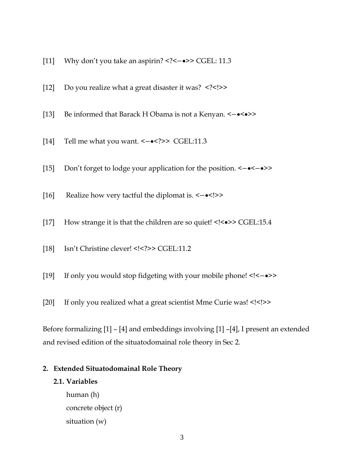- [11] Why don't you take an aspirin? <?<-•>> CGEL: 11.3
- [12] Do you realize what a great disaster it was? <?<!>>
- [13] Be informed that Barack H Obama is not a Kenyan. <−<>>
- [14] Tell me what you want. <−<?>> CGEL:11.3
- [15] Don't forget to lodge your application for the position. <−<−>>
- [16] Realize how very tactful the diplomat is. <-•<!>>
- [17] How strange it is that the children are so quiet! <!<->><>>> CGEL:15.4
- [18] Isn't Christine clever! <!<?>> CGEL:11.2
- [19] If only you would stop fidgeting with your mobile phone! <!<−>>
- [20] If only you realized what a great scientist Mme Curie was! <!<!>>

Before formalizing [1] – [4] and embeddings involving [1] –[4], I present an extended and revised edition of the situatodomainal role theory in Sec 2.

#### **2. Extended Situatodomainal Role Theory**

#### **2.1. Variables**

human (h) concrete object (r) situation (w)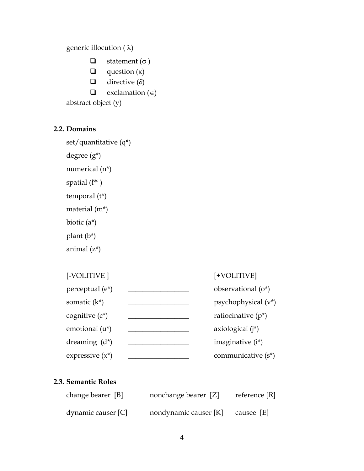generic illocution (  $\lambda)$ 

- $\Box$  statement ( $\sigma$ )
- $\Box$  question ( $\kappa$ )
- $\Box$  directive (∂)
- $\Box$  exclamation ( $\in$ )

abstract object (y)

#### **2.2. Domains**

```
set/quantitative (q*)
```
degree (g\*)

numerical (n\*)

spatial  $(\ell^*)$ 

temporal (t\*)

material (m\*)

biotic (a\*)

plant (b\*)

animal (z\*)

| [-VOLITIVE |
|------------|
|            |

## [-VOLITIVE ] [+VOLITIVE]

| perceptual (e <sup>*</sup> ) | observational $(o^*)$  |
|------------------------------|------------------------|
| somatic $(k^*)$              | psychophysical $(v^*)$ |
| cognitive (c*)               | ratiocinative $(p^*)$  |
| emotional (u*)               | axiological $(i^*)$    |
| dreaming $(d^*)$             | imaginative (i*)       |
| expressive $(x^*)$           | communicative $(s^*)$  |

#### **2.3. Semantic Roles**

| change bearer [B]  | nonchange bearer [Z]                 | reference $[R]$ |
|--------------------|--------------------------------------|-----------------|
| dynamic causer [C] | nondynamic causer $[K]$ causee $[E]$ |                 |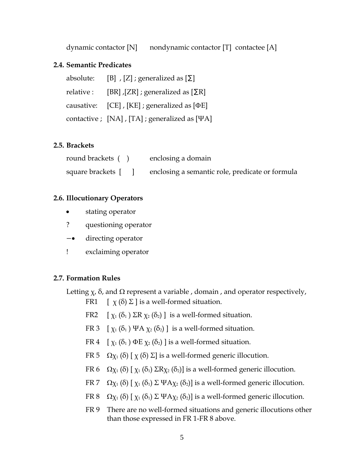dynamic contactor  $[N]$  nondynamic contactor  $[T]$  contactee  $[A]$ 

#### **2.4. Semantic Predicates**

| absolute: [B], $[Z]$ ; generalized as $[\Sigma]$             |
|--------------------------------------------------------------|
| relative : [BR], [ZR] ; generalized as $[\Sigma \mathbb{R}]$ |
| causative: $[CE]$ , $[KE]$ ; generalized as $[DE]$           |
| contactive ; [NA], [TA] ; generalized as [ $\Psi$ A]         |

#### **2.5. Brackets**

| round brackets () | enclosing a domain                              |
|-------------------|-------------------------------------------------|
|                   | enclosing a semantic role, predicate or formula |

#### **2.6. Illocutionary Operators**

- stating operator
- ? questioning operator
- − directing operator
- ! exclaiming operator

#### **2.7. Formation Rules**

Letting  $\chi$ ,  $\delta$ , and  $\Omega$  represent a variable, domain, and operator respectively,

- FR1  $[\chi(\delta) \Sigma]$  is a well-formed situation.
- FR2  $[\chi_1(\delta_1) \Sigma R \chi_2(\delta_2)]$  is a well-formed situation.
- FR 3  $[\chi_1(\delta_1) \Psi A \chi_2(\delta_2)]$  is a well-formed situation.
- FR 4  $[\chi_1(\delta_1) \Phi E \chi_2(\delta_2)]$  is a well-formed situation.
- FR 5  $\Omega$ <sub>X1</sub> (δ) [ x (δ) Σ] is a well-formed generic illocution.
- FR 6  $\Omega$ χ<sub>1</sub> (δ) [ χ<sub>1</sub> (δ<sub>1</sub>) ΣR<sub>X<sub>2</sub></sub> (δ<sub>2</sub>)] is a well-formed generic illocution.
- FR 7  $\Omega$  $\chi$ <sub>1</sub> (δ)  $[\chi$ <sub>1</sub> (δ<sub>1</sub>)  $\Sigma$  ΨA $\chi$ <sub>2</sub> (δ<sub>2</sub>)] is a well-formed generic illocution.
- FR 8  $\Omega$  $\chi$ <sub>1</sub> (δ)  $[\chi$ <sub>1</sub> (δ<sub>1</sub>)  $\Sigma$  ΨA $\chi$ <sub>2</sub> (δ<sub>2</sub>)] is a well-formed generic illocution.
- FR 9 There are no well-formed situations and generic illocutions other than those expressed in FR 1-FR 8 above.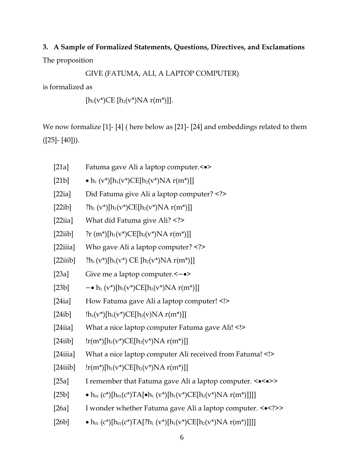# **3. A Sample of Formalized Statements, Questions, Directives, and Exclamations** The proposition

GIVE (FATUMA, ALI, A LAPTOP COMPUTER)

is formalized as

 $[h_1(v^*)CE [h_2(v^*)NA r(m^*)]].$ 

We now formalize [1]- [4] ( here below as [21]- [24] and embeddings related to them  $([25] - [40])$ .

- [21a] Fatuma gave Ali a laptop computer.<>
- [21b]  $\bullet h_1 (v^*)[h_1(v^*)CE[h_2(v^*)NA r(m^*)]]$
- [22ia] Did Fatuma give Ali a laptop computer? <?>
- [22ib]  $?h_1 (v^*)[h_1(v^*)CE[h_2(v^*)NA r(m^*)]]$
- [22iia] What did Fatuma give Ali? <?>
- [22iib]  $?r(m*)[h_1(v*)CE[h_2(v*)NA r(m*)]]$
- [22iiia] Who gave Ali a laptop computer? <?>
- [22iiib]  $?h_1(v^*)[h_1(v^*) \text{ CE } [h_2(v^*)] \text{NA } r(m^*)]$ ]
- [23a] Give me a laptop computer. <— $\bullet$  >
- [23b]  $\cdot h_1 (v^*) [h_1(v^*) C E[h_2(v^*) N A r(m^*)]]$
- [24ia] How Fatuma gave Ali a laptop computer! <!>
- $[24ib]$   $\text{lh}_1(v^*)[\text{h}_1(v^*)\text{CE}[\text{h}_2(v)\text{NA } r(m^*)]]$
- [24iia] What a nice laptop computer Fatuma gave Ali! <!>
- [24iib]  $\text{lr}(m^*)[h_1(v^*)CE[h_2(v^*)NA r(m^*)]]$
- [24iiia] What a nice laptop computer Ali received from Fatuma! <!>
- [24iiib]  $\text{lr}(m^*)[h_1(v^*)CE[h_2(v^*)NA r(m^*)]]$
- [25a] I remember that Fatuma gave Ali a laptop computer. <<>>
- [25b]  $\bullet$   $h_{01}$  (c\*)[ $h_{01}$ (c\*)TA[ $\bullet$  $h_{1}$  (v\*)[ $h_{1}$ (v\*)CE[ $h_{2}$ (v\*)NA r(m\*)]]]]
- [26a] I wonder whether Fatuma gave Ali a laptop computer. <<?>>
- [26b]  $\bullet$   $h_{01}$  (c<sup>\*</sup>)[h<sub>01</sub>(c<sup>\*</sup>)TA[?h<sub>1</sub> (v<sup>\*</sup>)[h<sub>1</sub>(v<sup>\*</sup>)CE[h<sub>2</sub>(v<sup>\*</sup>)NA r(m<sup>\*</sup>)]]]]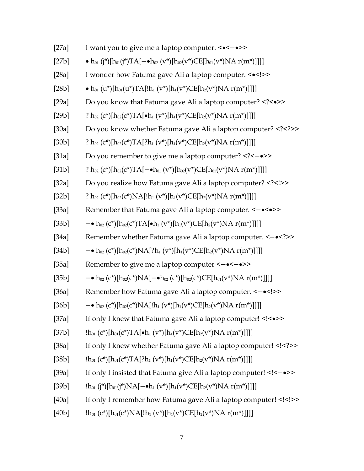| [27a] | I want you to give me a laptop computer. < $\leftarrow \leftarrow \rightarrow \rightarrow$                                         |
|-------|------------------------------------------------------------------------------------------------------------------------------------|
| [27b] | • $h_{01}$ (j*)[ $h_{01}$ (j*)TA[ $-\bullet h_{02}$ (v*)[ $h_{02}$ (v*)CE[ $h_{01}$ (v*)NA r(m*)]]]]                               |
| [28a] | I wonder how Fatuma gave Ali a laptop computer. < $\leq$ >>                                                                        |
| [28b] | • $h_{01}(u^*)[h_{01}(u^*)TA[!h_1(v^*)[h_1(v^*)CE[h_2(v^*)NAr(m^*)]]]]$                                                            |
| [29a] | Do you know that Fatuma gave Ali a laptop computer? <• >                                                                           |
| [29b] | ? $h_{02}(c^*)[h_{02}(c^*)TA[\bullet h_1(v^*)[h_1(v^*)CE[h_2(v^*)NAr(m^*)]]]]$                                                     |
| [30a] | Do you know whether Fatuma gave Ali a laptop computer? <? >                                                                        |
| [30b] | ? $h_{02}(c^*)[h_{02}(c^*)TA[?h_1(v^*)[h_1(v^*)CE[h_2(v^*)NAr(m^*)]]]]$                                                            |
| [31a] | Do you remember to give me a laptop computer? <-• >                                                                                |
| [31b] | ? $h_{02}(c^*)[h_{02}(c^*)TA[-\bullet h_{01}(v^*)[h_{02}(v^*)CE[h_{01}(v^*)NAr(m^*)]]]]$                                           |
| [32a] | Do you realize how Fatuma gave Ali a laptop computer? <! >                                                                         |
| [32b] | ? $h_{02}(c^*)[h_{02}(c^*)NA[!h_1(v^*)[h_1(v^*)CE[h_2(v^*)NAr(m^*)]]]]$                                                            |
| [33a] | Remember that Fatuma gave Ali a laptop computer. <-•<•>>                                                                           |
| [33b] | $- \cdot h_{02} (c^*) [h_{02}(c^*) T A [\cdot h_1 (v^*) [h_1(v^*) C E [h_2(v^*) N A r (m^*)]]]]$                                   |
| [34a] | Remember whether Fatuma gave Ali a laptop computer. <-• >                                                                          |
| [34b] | $- \bullet$ h <sub>02</sub> (c*)[h <sub>02</sub> (c*)NA[?h <sub>1</sub> (v*)[h <sub>1</sub> (v*)CE[h <sub>2</sub> (v*)NA r(m*)]]]] |
| [35a] | Remember to give me a laptop computer <-•<-•>>                                                                                     |
| [35b] | $- \cdot h_{02} (c^*) [h_{02}(c^*) NA[- \cdot h_{02} (c^*) [h_{02}(c^*) C E[h_{01}(v^*) NA r(m^*)]]]]$                             |
| [36a] | Remember how Fatuma gave Ali a laptop computer. <- • >                                                                             |
| [36b] | $- \bullet$ h <sub>02</sub> (c*)[h <sub>02</sub> (c*)NA[!h <sub>1</sub> (v*)[h <sub>1</sub> (v*)CE[h <sub>2</sub> (v*)NA r(m*)]]]] |
| [37a] | If only I knew that Fatuma gave Ali a laptop computer! <<<>>                                                                       |
| [37b] | $[h_{01}(c^*)[h_{01}(c^*)TA[\bullet h_{1}(v^*)[h_{1}(v^*)CE[h_{2}(v^*)NA r(m^*)]]]]$                                               |
| [38a] | If only I knew whether Fatuma gave Ali a laptop computer! <? >                                                                     |
| [38b] | $[h_{01}(c^*)[h_{01}(c^*)^T A[?h_1(v^*)[h_1(v^*)CE[h_2(v^*)NA r(m^*)]]]]$                                                          |
| [39a] | If only I insisted that Fatuma give Ali a laptop computer! <-• >                                                                   |
| [39b] | $[h_{01} (j^*)[h_{01}(j^*)NA[-\bullet h_{1}(v^*)[h_{1}(v^*)CE[h_{2}(v^*)NA r(m^*)]]]]$                                             |
| [40a] | If only I remember how Fatuma gave Ali a laptop computer! <! >                                                                     |
| [40b] | $[h_{01}(c^*)[h_{01}(c^*)NA][h_1(v^*)[h_1(v^*)CE[h_2(v^*)NAr(m^*)]]]]$                                                             |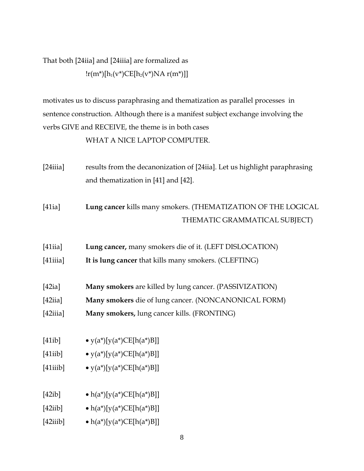## That both [24iia] and [24iiia] are formalized as  $\frac{r(m^*)[h_1(v^*)CE[h_2(v^*)NA r(m^*)]]}{$

motivates us to discuss paraphrasing and thematization as parallel processes in sentence construction. Although there is a manifest subject exchange involving the verbs GIVE and RECEIVE, the theme is in both cases

WHAT A NICE LAPTOP COMPUTER.

- [24iiia] results from the decanonization of [24iia]. Let us highlight paraphrasing and thematization in [41] and [42].
- [41ia] **Lung cancer** kills many smokers. (THEMATIZATION OF THE LOGICAL THEMATIC GRAMMATICAL SUBJECT)
- [41iia] **Lung cancer,** many smokers die of it. (LEFT DISLOCATION)
- [41iiia] **It is lung cancer** that kills many smokers. (CLEFTING)
- [42ia] **Many smokers** are killed by lung cancer. (PASSIVIZATION)
- [42iia] **Many smokers** die of lung cancer. (NONCANONICAL FORM)
- [42iiia] **Many smokers,** lung cancer kills. (FRONTING)
- [41ib]  $\bullet$  y(a\*)[y(a\*)CE[h(a\*)B]]
- [41iib]  $\bullet$  y(a\*)[y(a\*)CE[h(a\*)B]]
- [41iiib]  $\bullet$  y(a\*)[y(a\*)CE[h(a\*)B]]
- [42ib]  $\bullet$  h(a\*)[y(a\*)CE[h(a\*)B]]
- [42iib]  $\bullet$  h(a\*)[y(a\*)CE[h(a\*)B]]
- [42iiib]  $\bullet$  h(a\*)[y(a\*)CE[h(a\*)B]]